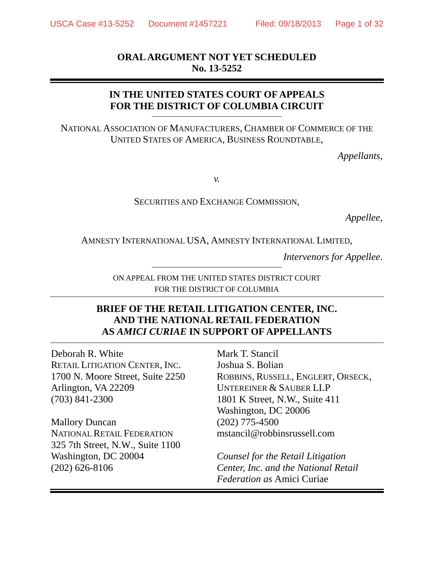### **ORAL ARGUMENT NOT YET SCHEDULED No. 13-5252**

## **IN THE UNITED STATES COURT OF APPEALS FOR THE DISTRICT OF COLUMBIA CIRCUIT**

NATIONAL ASSOCIATION OF MANUFACTURERS, CHAMBER OF COMMERCE OF THE UNITED STATES OF AMERICA, BUSINESS ROUNDTABLE,

*Appellants*,

*v.* 

SECURITIES AND EXCHANGE COMMISSION,

*Appellee*,

AMNESTY INTERNATIONAL USA, AMNESTY INTERNATIONAL LIMITED,

*Intervenors for Appellee*.

ON APPEAL FROM THE UNITED STATES DISTRICT COURT FOR THE DISTRICT OF COLUMBIA

### **BRIEF OF THE RETAIL LITIGATION CENTER, INC. AND THE NATIONAL RETAIL FEDERATION AS** *AMICI CURIAE* **IN SUPPORT OF APPELLANTS**

Deborah R. White Mark T. Stancil RETAIL LITIGATION CENTER, INC. Joshua S. Bolian Arlington, VA 22209 UNTEREINER & SAUBER LLP (703) 841-2300 1801 K Street, N.W., Suite 411

Mallory Duncan (202) 775-4500 NATIONAL RETAIL FEDERATION mstancil@robbinsrussell.com 325 7th Street, N.W., Suite 1100 Washington, DC 20004 *Counsel for the Retail Litigation*

1700 N. Moore Street, Suite 2250 ROBBINS, RUSSELL, ENGLERT, ORSECK, Washington, DC 20006

(202) 626-8106 *Center, Inc. and the National Retail Federation as* Amici Curiae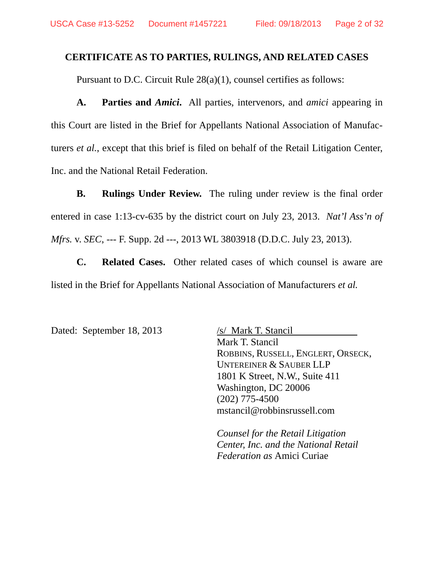### **CERTIFICATE AS TO PARTIES, RULINGS, AND RELATED CASES**

Pursuant to D.C. Circuit Rule 28(a)(1), counsel certifies as follows:

**A. Parties and** *Amici***.** All parties, intervenors, and *amici* appearing in this Court are listed in the Brief for Appellants National Association of Manufacturers *et al.*, except that this brief is filed on behalf of the Retail Litigation Center, Inc. and the National Retail Federation.

**B. Rulings Under Review.** The ruling under review is the final order entered in case 1:13-cv-635 by the district court on July 23, 2013. *Nat'l Ass'n of Mfrs.* v. *SEC*, --- F. Supp. 2d ---, 2013 WL 3803918 (D.D.C. July 23, 2013).

**C. Related Cases.** Other related cases of which counsel is aware are listed in the Brief for Appellants National Association of Manufacturers *et al.*

Dated: September 18, 2013 /s/ Mark T. Stancil

 Mark T. Stancil ROBBINS, RUSSELL, ENGLERT, ORSECK, UNTEREINER & SAUBER LLP 1801 K Street, N.W., Suite 411 Washington, DC 20006 (202) 775-4500 mstancil@robbinsrussell.com

*Counsel for the Retail Litigation Center, Inc. and the National Retail Federation as* Amici Curiae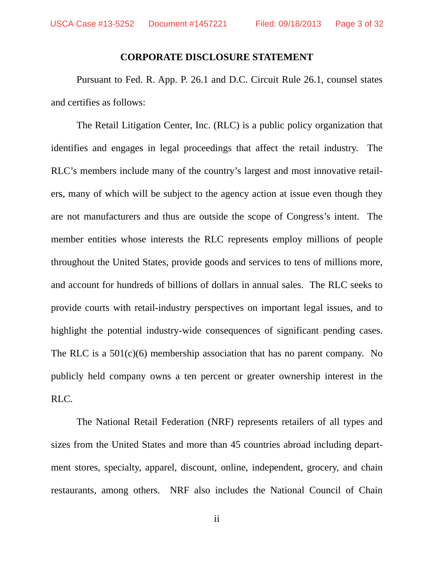#### **CORPORATE DISCLOSURE STATEMENT**

 Pursuant to Fed. R. App. P. 26.1 and D.C. Circuit Rule 26.1, counsel states and certifies as follows:

 The Retail Litigation Center, Inc. (RLC) is a public policy organization that identifies and engages in legal proceedings that affect the retail industry. The RLC's members include many of the country's largest and most innovative retailers, many of which will be subject to the agency action at issue even though they are not manufacturers and thus are outside the scope of Congress's intent. The member entities whose interests the RLC represents employ millions of people throughout the United States, provide goods and services to tens of millions more, and account for hundreds of billions of dollars in annual sales. The RLC seeks to provide courts with retail-industry perspectives on important legal issues, and to highlight the potential industry-wide consequences of significant pending cases. The RLC is a 501(c)(6) membership association that has no parent company. No publicly held company owns a ten percent or greater ownership interest in the RLC.

 The National Retail Federation (NRF) represents retailers of all types and sizes from the United States and more than 45 countries abroad including department stores, specialty, apparel, discount, online, independent, grocery, and chain restaurants, among others. NRF also includes the National Council of Chain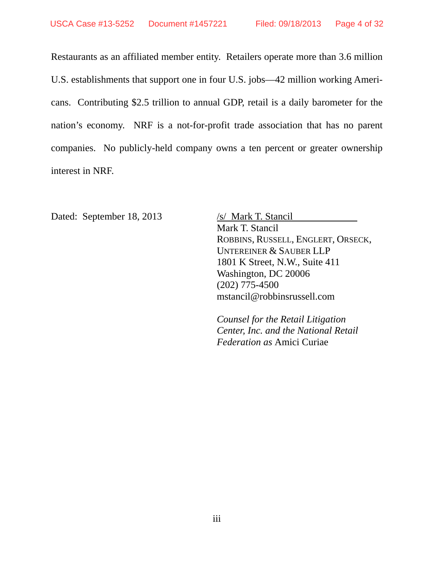Restaurants as an affiliated member entity. Retailers operate more than 3.6 million U.S. establishments that support one in four U.S. jobs—42 million working Americans. Contributing \$2.5 trillion to annual GDP, retail is a daily barometer for the nation's economy. NRF is a not-for-profit trade association that has no parent companies. No publicly-held company owns a ten percent or greater ownership interest in NRF.

Dated: September 18, 2013 /s/ Mark T. Stancil

 Mark T. Stancil ROBBINS, RUSSELL, ENGLERT, ORSECK, UNTEREINER & SAUBER LLP 1801 K Street, N.W., Suite 411 Washington, DC 20006 (202) 775-4500 mstancil@robbinsrussell.com

*Counsel for the Retail Litigation Center, Inc. and the National Retail Federation as* Amici Curiae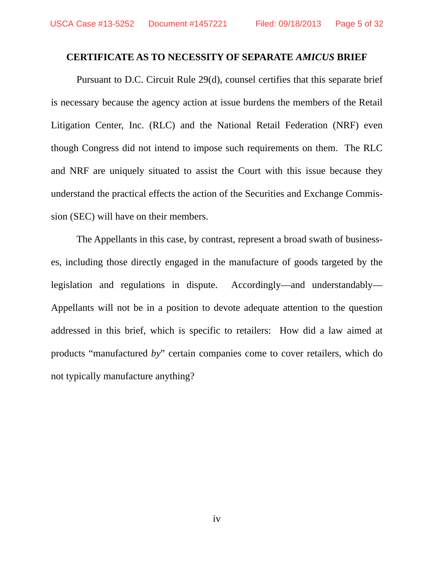#### **CERTIFICATE AS TO NECESSITY OF SEPARATE** *AMICUS* **BRIEF**

 Pursuant to D.C. Circuit Rule 29(d), counsel certifies that this separate brief is necessary because the agency action at issue burdens the members of the Retail Litigation Center, Inc. (RLC) and the National Retail Federation (NRF) even though Congress did not intend to impose such requirements on them. The RLC and NRF are uniquely situated to assist the Court with this issue because they understand the practical effects the action of the Securities and Exchange Commission (SEC) will have on their members.

 The Appellants in this case, by contrast, represent a broad swath of businesses, including those directly engaged in the manufacture of goods targeted by the legislation and regulations in dispute. Accordingly—and understandably— Appellants will not be in a position to devote adequate attention to the question addressed in this brief, which is specific to retailers: How did a law aimed at products "manufactured *by*" certain companies come to cover retailers, which do not typically manufacture anything?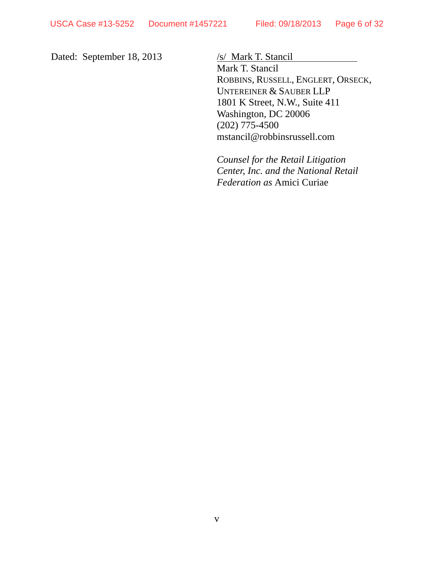Dated: September 18, 2013 /s/ Mark T. Stancil

 Mark T. Stancil ROBBINS, RUSSELL, ENGLERT, ORSECK, UNTEREINER & SAUBER LLP 1801 K Street, N.W., Suite 411 Washington, DC 20006 (202) 775-4500 mstancil@robbinsrussell.com

*Counsel for the Retail Litigation Center, Inc. and the National Retail Federation as* Amici Curiae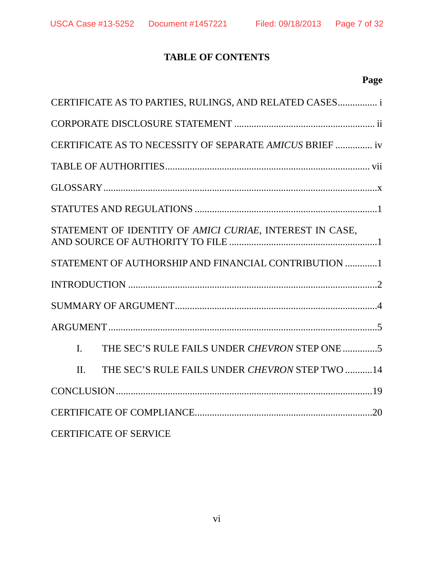# **TABLE OF CONTENTS**

# **Page**

| CERTIFICATE AS TO PARTIES, RULINGS, AND RELATED CASES i         |  |
|-----------------------------------------------------------------|--|
|                                                                 |  |
| CERTIFICATE AS TO NECESSITY OF SEPARATE AMICUS BRIEF  iv        |  |
|                                                                 |  |
|                                                                 |  |
|                                                                 |  |
| STATEMENT OF IDENTITY OF AMICI CURIAE, INTEREST IN CASE,        |  |
| STATEMENT OF AUTHORSHIP AND FINANCIAL CONTRIBUTION 1            |  |
|                                                                 |  |
|                                                                 |  |
|                                                                 |  |
| THE SEC'S RULE FAILS UNDER CHEVRON STEP ONE 5<br>$\mathbf{I}$ . |  |
| THE SEC'S RULE FAILS UNDER CHEVRON STEP TWO  14<br>$\Pi$ .      |  |
|                                                                 |  |
|                                                                 |  |
| <b>CERTIFICATE OF SERVICE</b>                                   |  |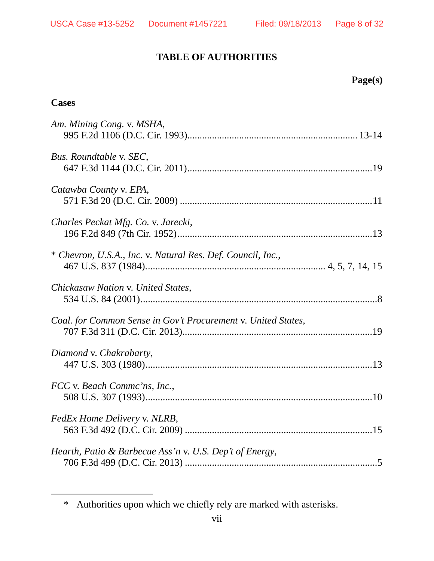### **TABLE OF AUTHORITIES**

| ισρι<br>x<br>ч |
|----------------|
|----------------|

### **Cases**

-

| Am. Mining Cong. v. MSHA,                                     |
|---------------------------------------------------------------|
| Bus. Roundtable v. SEC,                                       |
| Catawba County v. EPA,                                        |
| Charles Peckat Mfg. Co. v. Jarecki,                           |
| * Chevron, U.S.A., Inc. v. Natural Res. Def. Council, Inc.,   |
| Chickasaw Nation v. United States,                            |
| Coal. for Common Sense in Gov't Procurement v. United States, |
| Diamond v. Chakrabarty,                                       |
| FCC v. Beach Commc'ns, Inc.,                                  |
| FedEx Home Delivery v. NLRB,                                  |
| Hearth, Patio & Barbecue Ass'n v. U.S. Dep't of Energy,       |

<sup>\*</sup> Authorities upon which we chiefly rely are marked with asterisks.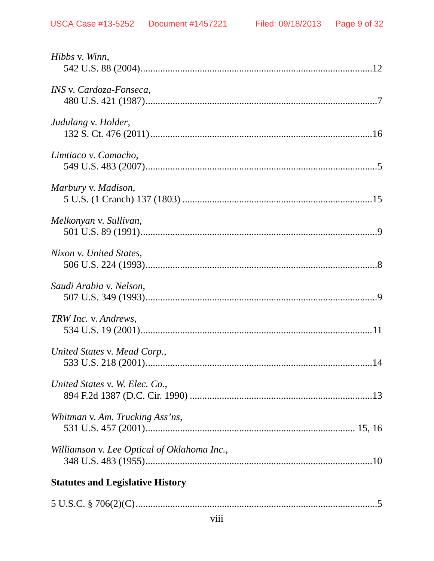| Hibbs v. Winn,                              |
|---------------------------------------------|
| INS v. Cardoza-Fonseca,                     |
| Judulang v. Holder,                         |
| Limtiaco v. Camacho,                        |
| Marbury v. Madison,                         |
| Melkonyan v. Sullivan,                      |
| Nixon v. United States,                     |
| Saudi Arabia v. Nelson,                     |
| TRW Inc. v. Andrews,                        |
| United States v. Mead Corp.,                |
| United States v. W. Elec. Co.,              |
| Whitman v. Am. Trucking Ass'ns,             |
| Williamson v. Lee Optical of Oklahoma Inc., |
| <b>Statutes and Legislative History</b>     |
|                                             |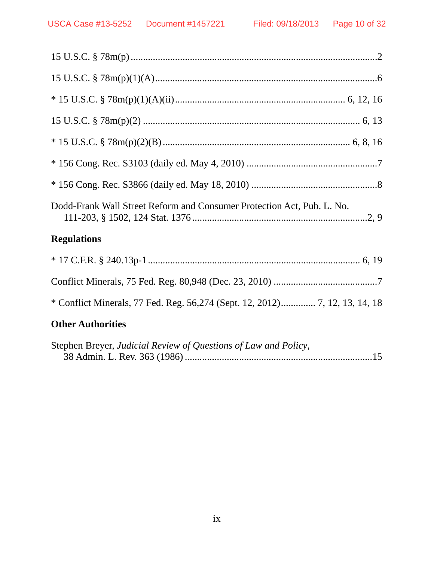| Dodd-Frank Wall Street Reform and Consumer Protection Act, Pub. L. No. |  |
|------------------------------------------------------------------------|--|
| <b>Regulations</b>                                                     |  |

| <b>Other Authorities</b> |
|--------------------------|
|                          |
|                          |
|                          |

| Stephen Breyer, Judicial Review of Questions of Law and Policy, |  |
|-----------------------------------------------------------------|--|
|                                                                 |  |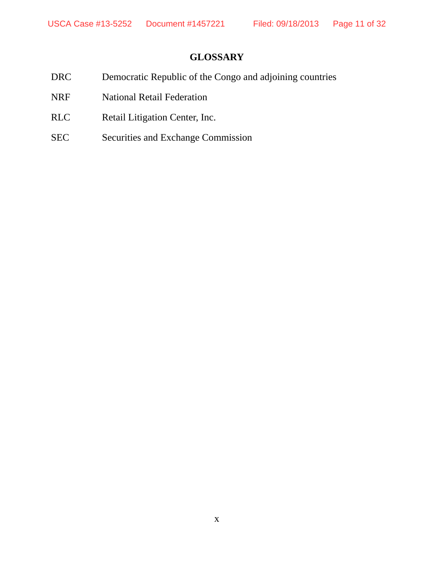## **GLOSSARY**

- DRC Democratic Republic of the Congo and adjoining countries
- NRF National Retail Federation
- RLC Retail Litigation Center, Inc.
- SEC Securities and Exchange Commission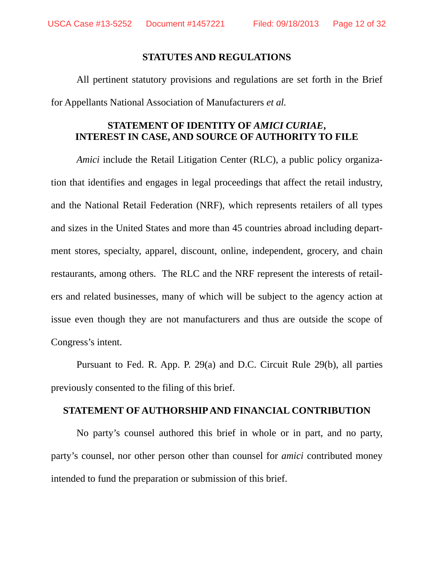#### **STATUTES AND REGULATIONS**

 All pertinent statutory provisions and regulations are set forth in the Brief for Appellants National Association of Manufacturers *et al.*

### **STATEMENT OF IDENTITY OF** *AMICI CURIAE***, INTEREST IN CASE, AND SOURCE OF AUTHORITY TO FILE**

*Amici* include the Retail Litigation Center (RLC), a public policy organization that identifies and engages in legal proceedings that affect the retail industry, and the National Retail Federation (NRF), which represents retailers of all types and sizes in the United States and more than 45 countries abroad including department stores, specialty, apparel, discount, online, independent, grocery, and chain restaurants, among others. The RLC and the NRF represent the interests of retailers and related businesses, many of which will be subject to the agency action at issue even though they are not manufacturers and thus are outside the scope of Congress's intent.

 Pursuant to Fed. R. App. P. 29(a) and D.C. Circuit Rule 29(b), all parties previously consented to the filing of this brief.

#### **STATEMENT OF AUTHORSHIP AND FINANCIAL CONTRIBUTION**

 No party's counsel authored this brief in whole or in part, and no party, party's counsel, nor other person other than counsel for *amici* contributed money intended to fund the preparation or submission of this brief.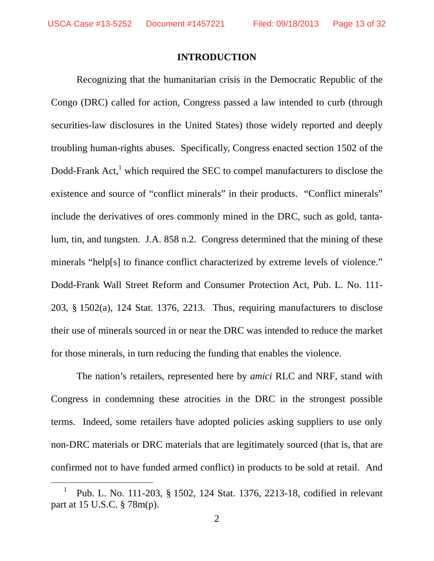### **INTRODUCTION**

 Recognizing that the humanitarian crisis in the Democratic Republic of the Congo (DRC) called for action, Congress passed a law intended to curb (through securities-law disclosures in the United States) those widely reported and deeply troubling human-rights abuses. Specifically, Congress enacted section 1502 of the Dodd-Frank Act,<sup>1</sup> which required the SEC to compel manufacturers to disclose the existence and source of "conflict minerals" in their products. "Conflict minerals" include the derivatives of ores commonly mined in the DRC, such as gold, tantalum, tin, and tungsten. J.A. 858 n.2. Congress determined that the mining of these minerals "help[s] to finance conflict characterized by extreme levels of violence." Dodd-Frank Wall Street Reform and Consumer Protection Act, Pub. L. No. 111- 203, § 1502(a), 124 Stat. 1376, 2213. Thus, requiring manufacturers to disclose their use of minerals sourced in or near the DRC was intended to reduce the market for those minerals, in turn reducing the funding that enables the violence.

 The nation's retailers, represented here by *amici* RLC and NRF, stand with Congress in condemning these atrocities in the DRC in the strongest possible terms. Indeed, some retailers have adopted policies asking suppliers to use only non-DRC materials or DRC materials that are legitimately sourced (that is, that are confirmed not to have funded armed conflict) in products to be sold at retail. And

 $\frac{1}{1}$  Pub. L. No. 111-203, § 1502, 124 Stat. 1376, 2213-18, codified in relevant part at 15 U.S.C. § 78m(p).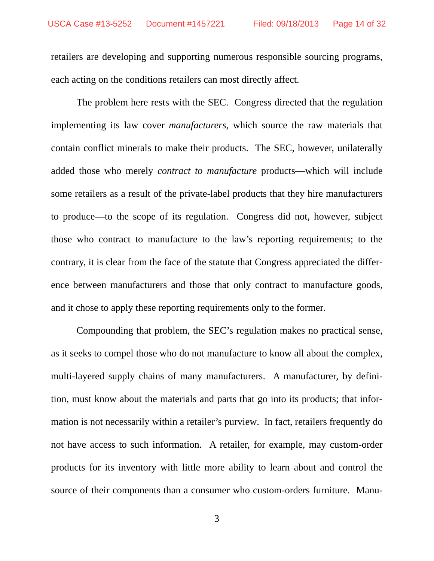retailers are developing and supporting numerous responsible sourcing programs, each acting on the conditions retailers can most directly affect.

 The problem here rests with the SEC. Congress directed that the regulation implementing its law cover *manufacturers*, which source the raw materials that contain conflict minerals to make their products. The SEC, however, unilaterally added those who merely *contract to manufacture* products—which will include some retailers as a result of the private-label products that they hire manufacturers to produce—to the scope of its regulation. Congress did not, however, subject those who contract to manufacture to the law's reporting requirements; to the contrary, it is clear from the face of the statute that Congress appreciated the difference between manufacturers and those that only contract to manufacture goods, and it chose to apply these reporting requirements only to the former.

 Compounding that problem, the SEC's regulation makes no practical sense, as it seeks to compel those who do not manufacture to know all about the complex, multi-layered supply chains of many manufacturers. A manufacturer, by definition, must know about the materials and parts that go into its products; that information is not necessarily within a retailer's purview. In fact, retailers frequently do not have access to such information. A retailer, for example, may custom-order products for its inventory with little more ability to learn about and control the source of their components than a consumer who custom-orders furniture. Manu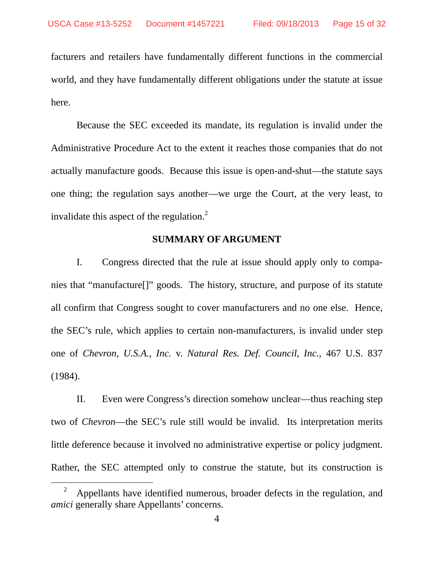facturers and retailers have fundamentally different functions in the commercial world, and they have fundamentally different obligations under the statute at issue here.

 Because the SEC exceeded its mandate, its regulation is invalid under the Administrative Procedure Act to the extent it reaches those companies that do not actually manufacture goods. Because this issue is open-and-shut—the statute says one thing; the regulation says another—we urge the Court, at the very least, to invalidate this aspect of the regulation. $<sup>2</sup>$ </sup>

#### **SUMMARY OF ARGUMENT**

 I. Congress directed that the rule at issue should apply only to companies that "manufacture[]" goods. The history, structure, and purpose of its statute all confirm that Congress sought to cover manufacturers and no one else. Hence, the SEC's rule, which applies to certain non-manufacturers, is invalid under step one of *Chevron, U.S.A., Inc.* v. *Natural Res. Def. Council, Inc.*, 467 U.S. 837 (1984).

 II. Even were Congress's direction somehow unclear—thus reaching step two of *Chevron*—the SEC's rule still would be invalid. Its interpretation merits little deference because it involved no administrative expertise or policy judgment. Rather, the SEC attempted only to construe the statute, but its construction is

 $\frac{1}{2}$  Appellants have identified numerous, broader defects in the regulation, and *amici* generally share Appellants' concerns.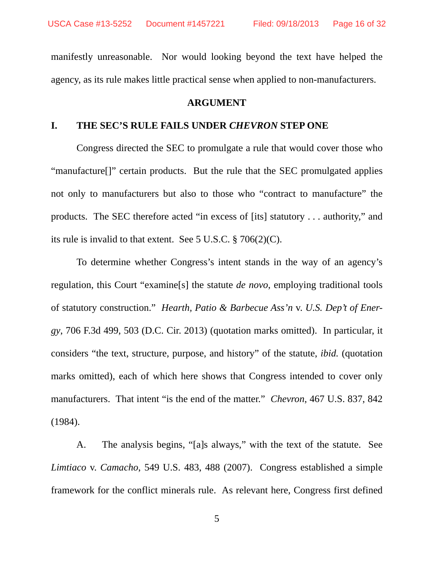manifestly unreasonable. Nor would looking beyond the text have helped the agency, as its rule makes little practical sense when applied to non-manufacturers.

#### **ARGUMENT**

#### **I. THE SEC'S RULE FAILS UNDER** *CHEVRON* **STEP ONE**

 Congress directed the SEC to promulgate a rule that would cover those who "manufacture[]" certain products. But the rule that the SEC promulgated applies not only to manufacturers but also to those who "contract to manufacture" the products. The SEC therefore acted "in excess of [its] statutory . . . authority," and its rule is invalid to that extent. See 5 U.S.C. § 706(2)(C).

 To determine whether Congress's intent stands in the way of an agency's regulation, this Court "examine[s] the statute *de novo*, employing traditional tools of statutory construction." *Hearth, Patio & Barbecue Ass'n* v. *U.S. Dep't of Energy*, 706 F.3d 499, 503 (D.C. Cir. 2013) (quotation marks omitted). In particular, it considers "the text, structure, purpose, and history" of the statute, *ibid.* (quotation marks omitted), each of which here shows that Congress intended to cover only manufacturers. That intent "is the end of the matter." *Chevron*, 467 U.S. 837, 842 (1984).

 A. The analysis begins, "[a]s always," with the text of the statute. See *Limtiaco* v. *Camacho*, 549 U.S. 483, 488 (2007). Congress established a simple framework for the conflict minerals rule. As relevant here, Congress first defined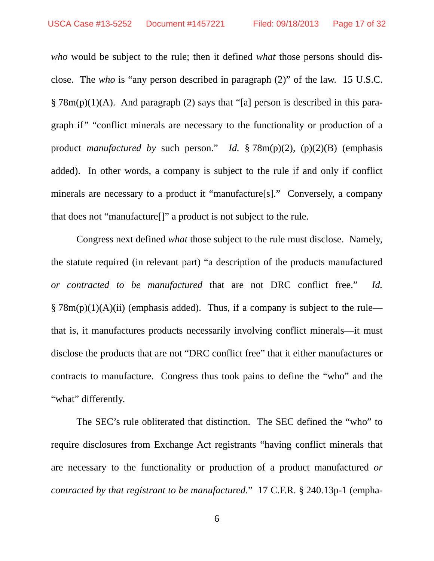*who* would be subject to the rule; then it defined *what* those persons should disclose. The *who* is "any person described in paragraph (2)" of the law. 15 U.S.C. § 78m(p)(1)(A). And paragraph (2) says that "[a] person is described in this paragraph if" "conflict minerals are necessary to the functionality or production of a product *manufactured by* such person." *Id.* § 78m(p)(2), (p)(2)(B) (emphasis added). In other words, a company is subject to the rule if and only if conflict minerals are necessary to a product it "manufacture[s]." Conversely, a company that does not "manufacture[]" a product is not subject to the rule.

 Congress next defined *what* those subject to the rule must disclose. Namely, the statute required (in relevant part) "a description of the products manufactured *or contracted to be manufactured* that are not DRC conflict free." *Id.*  $\S 78m(p)(1)(A)(ii)$  (emphasis added). Thus, if a company is subject to the rule that is, it manufactures products necessarily involving conflict minerals—it must disclose the products that are not "DRC conflict free" that it either manufactures or contracts to manufacture. Congress thus took pains to define the "who" and the "what" differently.

 The SEC's rule obliterated that distinction. The SEC defined the "who" to require disclosures from Exchange Act registrants "having conflict minerals that are necessary to the functionality or production of a product manufactured *or contracted by that registrant to be manufactured.*" 17 C.F.R. § 240.13p-1 (empha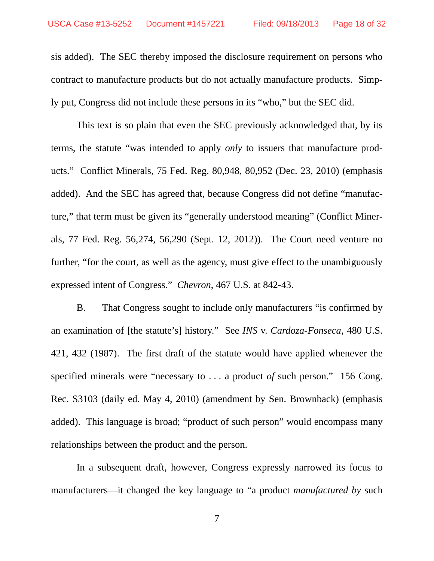sis added). The SEC thereby imposed the disclosure requirement on persons who contract to manufacture products but do not actually manufacture products. Simply put, Congress did not include these persons in its "who," but the SEC did.

 This text is so plain that even the SEC previously acknowledged that, by its terms, the statute "was intended to apply *only* to issuers that manufacture products." Conflict Minerals, 75 Fed. Reg. 80,948, 80,952 (Dec. 23, 2010) (emphasis added). And the SEC has agreed that, because Congress did not define "manufacture," that term must be given its "generally understood meaning" (Conflict Minerals, 77 Fed. Reg. 56,274, 56,290 (Sept. 12, 2012)). The Court need venture no further, "for the court, as well as the agency, must give effect to the unambiguously expressed intent of Congress." *Chevron*, 467 U.S. at 842-43.

 B. That Congress sought to include only manufacturers "is confirmed by an examination of [the statute's] history." See *INS* v. *Cardoza-Fonseca*, 480 U.S. 421, 432 (1987). The first draft of the statute would have applied whenever the specified minerals were "necessary to . . . a product *of* such person." 156 Cong. Rec. S3103 (daily ed. May 4, 2010) (amendment by Sen. Brownback) (emphasis added). This language is broad; "product of such person" would encompass many relationships between the product and the person.

 In a subsequent draft, however, Congress expressly narrowed its focus to manufacturers—it changed the key language to "a product *manufactured by* such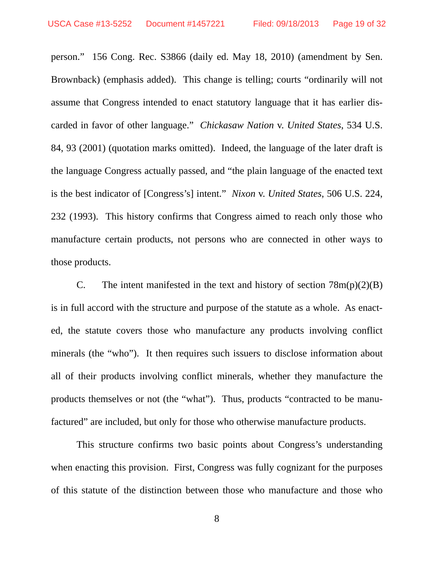person." 156 Cong. Rec. S3866 (daily ed. May 18, 2010) (amendment by Sen. Brownback) (emphasis added). This change is telling; courts "ordinarily will not assume that Congress intended to enact statutory language that it has earlier discarded in favor of other language." *Chickasaw Nation* v. *United States*, 534 U.S. 84, 93 (2001) (quotation marks omitted). Indeed, the language of the later draft is the language Congress actually passed, and "the plain language of the enacted text is the best indicator of [Congress's] intent." *Nixon* v. *United States*, 506 U.S. 224, 232 (1993). This history confirms that Congress aimed to reach only those who manufacture certain products, not persons who are connected in other ways to those products.

C. The intent manifested in the text and history of section  $78m(p)(2)(B)$ is in full accord with the structure and purpose of the statute as a whole. As enacted, the statute covers those who manufacture any products involving conflict minerals (the "who"). It then requires such issuers to disclose information about all of their products involving conflict minerals, whether they manufacture the products themselves or not (the "what"). Thus, products "contracted to be manufactured" are included, but only for those who otherwise manufacture products.

 This structure confirms two basic points about Congress's understanding when enacting this provision. First, Congress was fully cognizant for the purposes of this statute of the distinction between those who manufacture and those who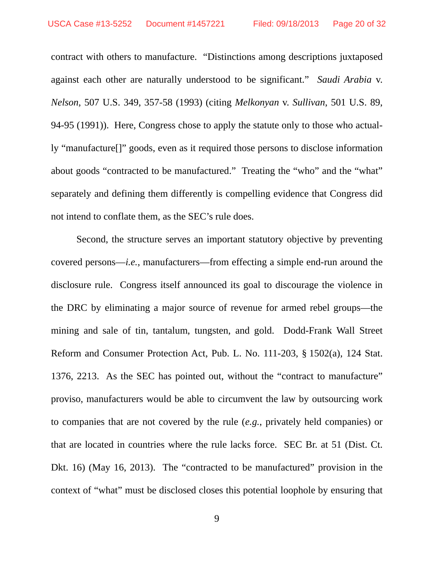contract with others to manufacture. "Distinctions among descriptions juxtaposed against each other are naturally understood to be significant." *Saudi Arabia* v. *Nelson*, 507 U.S. 349, 357-58 (1993) (citing *Melkonyan* v. *Sullivan*, 501 U.S. 89, 94-95 (1991)). Here, Congress chose to apply the statute only to those who actually "manufacture[]" goods, even as it required those persons to disclose information about goods "contracted to be manufactured." Treating the "who" and the "what" separately and defining them differently is compelling evidence that Congress did not intend to conflate them, as the SEC's rule does.

Second, the structure serves an important statutory objective by preventing covered persons—*i.e.*, manufacturers—from effecting a simple end-run around the disclosure rule. Congress itself announced its goal to discourage the violence in the DRC by eliminating a major source of revenue for armed rebel groups—the mining and sale of tin, tantalum, tungsten, and gold. Dodd-Frank Wall Street Reform and Consumer Protection Act, Pub. L. No. 111-203, § 1502(a), 124 Stat. 1376, 2213. As the SEC has pointed out, without the "contract to manufacture" proviso, manufacturers would be able to circumvent the law by outsourcing work to companies that are not covered by the rule (*e.g.*, privately held companies) or that are located in countries where the rule lacks force. SEC Br. at 51 (Dist. Ct. Dkt. 16) (May 16, 2013). The "contracted to be manufactured" provision in the context of "what" must be disclosed closes this potential loophole by ensuring that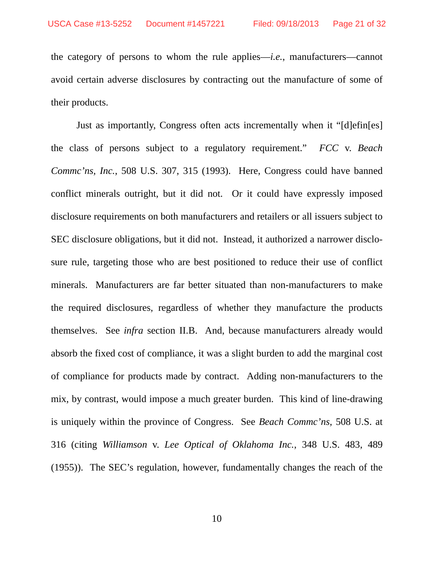the category of persons to whom the rule applies—*i.e.*, manufacturers—cannot avoid certain adverse disclosures by contracting out the manufacture of some of their products.

 Just as importantly, Congress often acts incrementally when it "[d]efin[es] the class of persons subject to a regulatory requirement." *FCC* v. *Beach Commc'ns, Inc.*, 508 U.S. 307, 315 (1993). Here, Congress could have banned conflict minerals outright, but it did not. Or it could have expressly imposed disclosure requirements on both manufacturers and retailers or all issuers subject to SEC disclosure obligations, but it did not. Instead, it authorized a narrower disclosure rule, targeting those who are best positioned to reduce their use of conflict minerals. Manufacturers are far better situated than non-manufacturers to make the required disclosures, regardless of whether they manufacture the products themselves. See *infra* section II.B. And, because manufacturers already would absorb the fixed cost of compliance, it was a slight burden to add the marginal cost of compliance for products made by contract. Adding non-manufacturers to the mix, by contrast, would impose a much greater burden. This kind of line-drawing is uniquely within the province of Congress. See *Beach Commc'ns*, 508 U.S. at 316 (citing *Williamson* v. *Lee Optical of Oklahoma Inc.*, 348 U.S. 483, 489 (1955)). The SEC's regulation, however, fundamentally changes the reach of the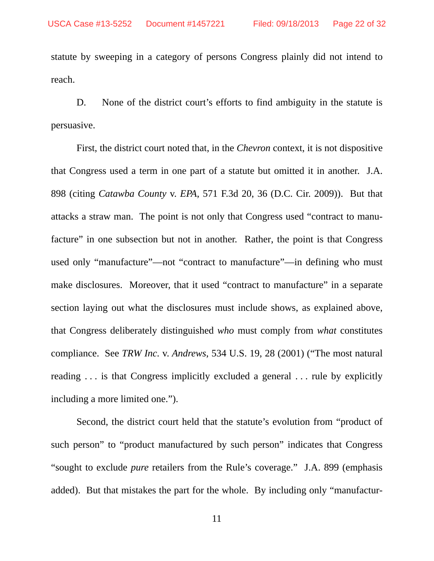statute by sweeping in a category of persons Congress plainly did not intend to reach.

 D. None of the district court's efforts to find ambiguity in the statute is persuasive.

 First, the district court noted that, in the *Chevron* context, it is not dispositive that Congress used a term in one part of a statute but omitted it in another. J.A. 898 (citing *Catawba County* v. *EPA*, 571 F.3d 20, 36 (D.C. Cir. 2009)). But that attacks a straw man. The point is not only that Congress used "contract to manufacture" in one subsection but not in another. Rather, the point is that Congress used only "manufacture"—not "contract to manufacture"—in defining who must make disclosures. Moreover, that it used "contract to manufacture" in a separate section laying out what the disclosures must include shows, as explained above, that Congress deliberately distinguished *who* must comply from *what* constitutes compliance. See *TRW Inc.* v. *Andrews*, 534 U.S. 19, 28 (2001) ("The most natural reading ... is that Congress implicitly excluded a general ... rule by explicitly including a more limited one.").

 Second, the district court held that the statute's evolution from "product of such person" to "product manufactured by such person" indicates that Congress "sought to exclude *pure* retailers from the Rule's coverage." J.A. 899 (emphasis added). But that mistakes the part for the whole. By including only "manufactur-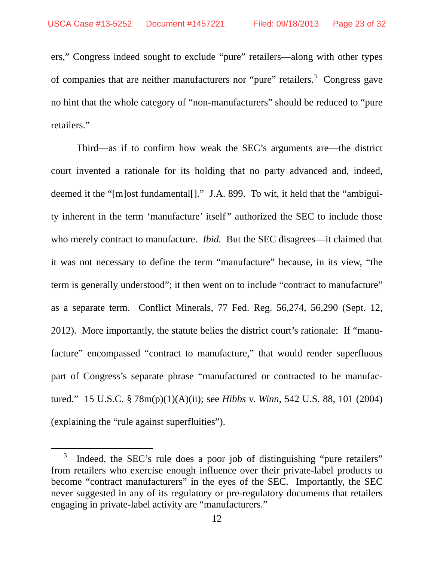ers," Congress indeed sought to exclude "pure" retailers—along with other types of companies that are neither manufacturers nor "pure" retailers.<sup>3</sup> Congress gave no hint that the whole category of "non-manufacturers" should be reduced to "pure retailers."

 Third—as if to confirm how weak the SEC's arguments are—the district court invented a rationale for its holding that no party advanced and, indeed, deemed it the "[m]ost fundamental[]." J.A. 899. To wit, it held that the "ambiguity inherent in the term 'manufacture' itself" authorized the SEC to include those who merely contract to manufacture. *Ibid.* But the SEC disagrees—it claimed that it was not necessary to define the term "manufacture" because, in its view, "the term is generally understood"; it then went on to include "contract to manufacture" as a separate term. Conflict Minerals, 77 Fed. Reg. 56,274, 56,290 (Sept. 12, 2012). More importantly, the statute belies the district court's rationale: If "manufacture" encompassed "contract to manufacture," that would render superfluous part of Congress's separate phrase "manufactured or contracted to be manufactured." 15 U.S.C. § 78m(p)(1)(A)(ii); see *Hibbs* v. *Winn*, 542 U.S. 88, 101 (2004) (explaining the "rule against superfluities").

 <sup>3</sup> Indeed, the SEC's rule does a poor job of distinguishing "pure retailers" from retailers who exercise enough influence over their private-label products to become "contract manufacturers" in the eyes of the SEC. Importantly, the SEC never suggested in any of its regulatory or pre-regulatory documents that retailers engaging in private-label activity are "manufacturers."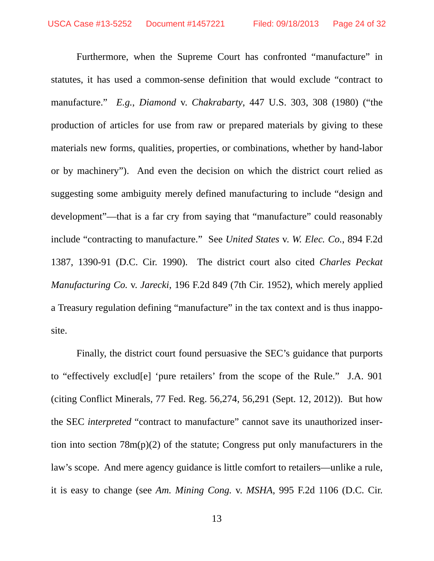Furthermore, when the Supreme Court has confronted "manufacture" in statutes, it has used a common-sense definition that would exclude "contract to manufacture." *E.g.*, *Diamond* v. *Chakrabarty*, 447 U.S. 303, 308 (1980) ("the production of articles for use from raw or prepared materials by giving to these materials new forms, qualities, properties, or combinations, whether by hand-labor or by machinery"). And even the decision on which the district court relied as suggesting some ambiguity merely defined manufacturing to include "design and development"—that is a far cry from saying that "manufacture" could reasonably include "contracting to manufacture." See *United States* v. *W. Elec. Co.*, 894 F.2d 1387, 1390-91 (D.C. Cir. 1990). The district court also cited *Charles Peckat Manufacturing Co.* v. *Jarecki*, 196 F.2d 849 (7th Cir. 1952), which merely applied a Treasury regulation defining "manufacture" in the tax context and is thus inapposite.

 Finally, the district court found persuasive the SEC's guidance that purports to "effectively exclud[e] 'pure retailers' from the scope of the Rule." J.A. 901 (citing Conflict Minerals, 77 Fed. Reg. 56,274, 56,291 (Sept. 12, 2012)). But how the SEC *interpreted* "contract to manufacture" cannot save its unauthorized insertion into section 78m(p)(2) of the statute; Congress put only manufacturers in the law's scope. And mere agency guidance is little comfort to retailers—unlike a rule, it is easy to change (see *Am. Mining Cong.* v. *MSHA*, 995 F.2d 1106 (D.C. Cir.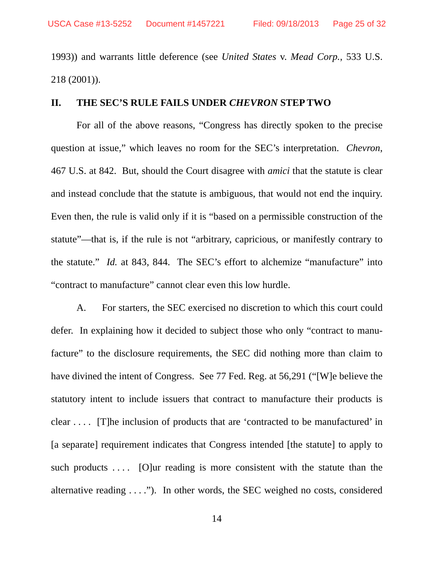1993)) and warrants little deference (see *United States* v. *Mead Corp.*, 533 U.S. 218 (2001)).

#### **II. THE SEC'S RULE FAILS UNDER** *CHEVRON* **STEP TWO**

 For all of the above reasons, "Congress has directly spoken to the precise question at issue," which leaves no room for the SEC's interpretation. *Chevron*, 467 U.S. at 842. But, should the Court disagree with *amici* that the statute is clear and instead conclude that the statute is ambiguous, that would not end the inquiry. Even then, the rule is valid only if it is "based on a permissible construction of the statute"—that is, if the rule is not "arbitrary, capricious, or manifestly contrary to the statute." *Id.* at 843, 844. The SEC's effort to alchemize "manufacture" into "contract to manufacture" cannot clear even this low hurdle.

 A. For starters, the SEC exercised no discretion to which this court could defer. In explaining how it decided to subject those who only "contract to manufacture" to the disclosure requirements, the SEC did nothing more than claim to have divined the intent of Congress. See 77 Fed. Reg. at 56,291 ("[W]e believe the statutory intent to include issuers that contract to manufacture their products is clear . . . . [T]he inclusion of products that are 'contracted to be manufactured' in [a separate] requirement indicates that Congress intended [the statute] to apply to such products .... [O]ur reading is more consistent with the statute than the alternative reading  $\dots$ ."). In other words, the SEC weighed no costs, considered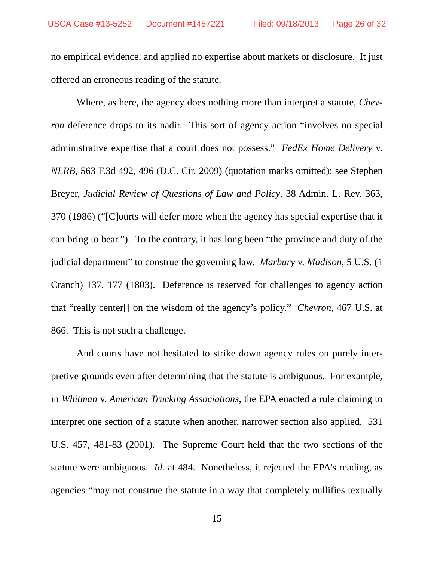no empirical evidence, and applied no expertise about markets or disclosure. It just offered an erroneous reading of the statute.

 Where, as here, the agency does nothing more than interpret a statute, *Chevron* deference drops to its nadir. This sort of agency action "involves no special administrative expertise that a court does not possess." *FedEx Home Delivery* v. *NLRB*, 563 F.3d 492, 496 (D.C. Cir. 2009) (quotation marks omitted); see Stephen Breyer, *Judicial Review of Questions of Law and Policy*, 38 Admin. L. Rev. 363, 370 (1986) ("[C]ourts will defer more when the agency has special expertise that it can bring to bear."). To the contrary, it has long been "the province and duty of the judicial department" to construe the governing law. *Marbury* v. *Madison*, 5 U.S. (1 Cranch) 137, 177 (1803). Deference is reserved for challenges to agency action that "really center[] on the wisdom of the agency's policy." *Chevron*, 467 U.S. at 866. This is not such a challenge.

 And courts have not hesitated to strike down agency rules on purely interpretive grounds even after determining that the statute is ambiguous. For example, in *Whitman* v. *American Trucking Associations*, the EPA enacted a rule claiming to interpret one section of a statute when another, narrower section also applied. 531 U.S. 457, 481-83 (2001). The Supreme Court held that the two sections of the statute were ambiguous. *Id.* at 484. Nonetheless, it rejected the EPA's reading, as agencies "may not construe the statute in a way that completely nullifies textually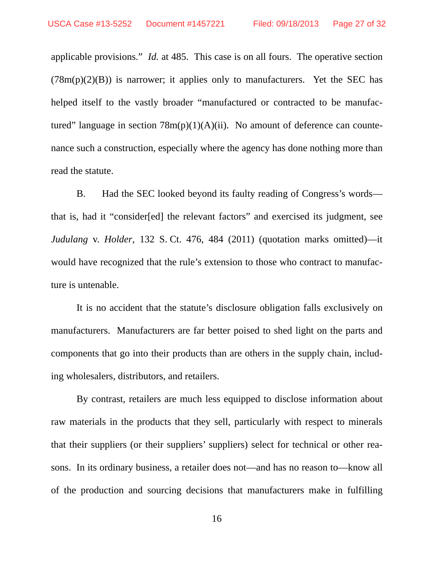applicable provisions." *Id.* at 485. This case is on all fours. The operative section  $(78m(p)(2)(B))$  is narrower; it applies only to manufacturers. Yet the SEC has helped itself to the vastly broader "manufactured or contracted to be manufactured" language in section  $78m(p)(1)(A)(ii)$ . No amount of deference can countenance such a construction, especially where the agency has done nothing more than read the statute.

 B. Had the SEC looked beyond its faulty reading of Congress's words that is, had it "consider[ed] the relevant factors" and exercised its judgment, see *Judulang* v. *Holder*, 132 S. Ct. 476, 484 (2011) (quotation marks omitted)—it would have recognized that the rule's extension to those who contract to manufacture is untenable.

 It is no accident that the statute's disclosure obligation falls exclusively on manufacturers. Manufacturers are far better poised to shed light on the parts and components that go into their products than are others in the supply chain, including wholesalers, distributors, and retailers.

 By contrast, retailers are much less equipped to disclose information about raw materials in the products that they sell, particularly with respect to minerals that their suppliers (or their suppliers' suppliers) select for technical or other reasons. In its ordinary business, a retailer does not—and has no reason to—know all of the production and sourcing decisions that manufacturers make in fulfilling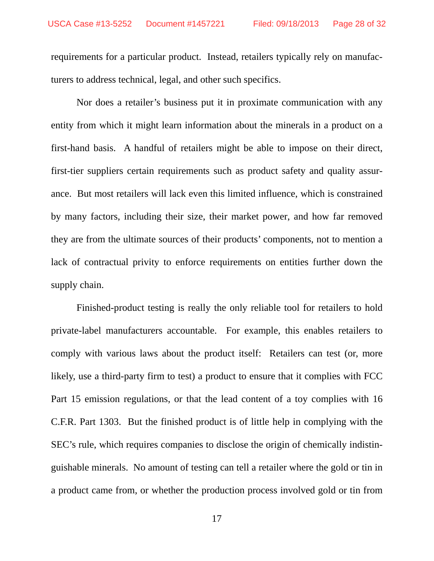requirements for a particular product. Instead, retailers typically rely on manufacturers to address technical, legal, and other such specifics.

 Nor does a retailer's business put it in proximate communication with any entity from which it might learn information about the minerals in a product on a first-hand basis. A handful of retailers might be able to impose on their direct, first-tier suppliers certain requirements such as product safety and quality assurance. But most retailers will lack even this limited influence, which is constrained by many factors, including their size, their market power, and how far removed they are from the ultimate sources of their products' components, not to mention a lack of contractual privity to enforce requirements on entities further down the supply chain.

 Finished-product testing is really the only reliable tool for retailers to hold private-label manufacturers accountable. For example, this enables retailers to comply with various laws about the product itself: Retailers can test (or, more likely, use a third-party firm to test) a product to ensure that it complies with FCC Part 15 emission regulations, or that the lead content of a toy complies with 16 C.F.R. Part 1303. But the finished product is of little help in complying with the SEC's rule, which requires companies to disclose the origin of chemically indistinguishable minerals. No amount of testing can tell a retailer where the gold or tin in a product came from, or whether the production process involved gold or tin from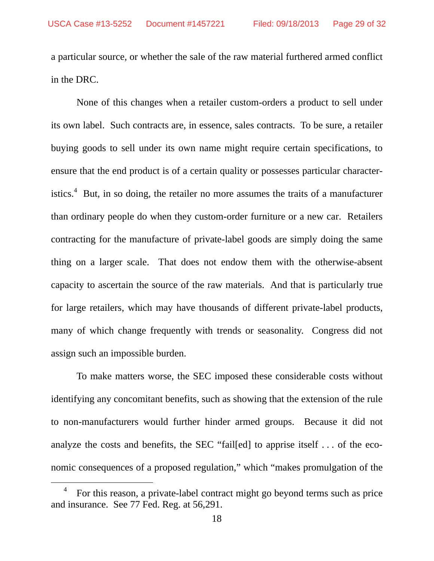a particular source, or whether the sale of the raw material furthered armed conflict in the DRC.

 None of this changes when a retailer custom-orders a product to sell under its own label. Such contracts are, in essence, sales contracts. To be sure, a retailer buying goods to sell under its own name might require certain specifications, to ensure that the end product is of a certain quality or possesses particular characteristics.<sup>4</sup> But, in so doing, the retailer no more assumes the traits of a manufacturer than ordinary people do when they custom-order furniture or a new car. Retailers contracting for the manufacture of private-label goods are simply doing the same thing on a larger scale. That does not endow them with the otherwise-absent capacity to ascertain the source of the raw materials. And that is particularly true for large retailers, which may have thousands of different private-label products, many of which change frequently with trends or seasonality. Congress did not assign such an impossible burden.

 To make matters worse, the SEC imposed these considerable costs without identifying any concomitant benefits, such as showing that the extension of the rule to non-manufacturers would further hinder armed groups. Because it did not analyze the costs and benefits, the SEC "fail[ed] to apprise itself . . . of the economic consequences of a proposed regulation," which "makes promulgation of the

 $\frac{1}{4}$  For this reason, a private-label contract might go beyond terms such as price and insurance. See 77 Fed. Reg. at 56,291.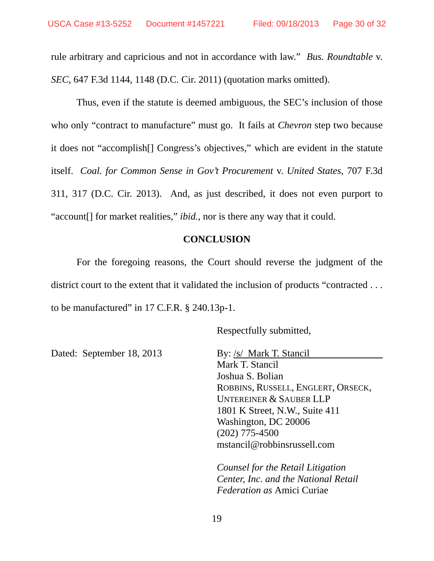rule arbitrary and capricious and not in accordance with law." *Bus. Roundtable* v. *SEC*, 647 F.3d 1144, 1148 (D.C. Cir. 2011) (quotation marks omitted).

 Thus, even if the statute is deemed ambiguous, the SEC's inclusion of those who only "contract to manufacture" must go. It fails at *Chevron* step two because it does not "accomplish[] Congress's objectives," which are evident in the statute itself. *Coal. for Common Sense in Gov't Procurement* v. *United States*, 707 F.3d 311, 317 (D.C. Cir. 2013). And, as just described, it does not even purport to "account[] for market realities," *ibid.*, nor is there any way that it could.

### **CONCLUSION**

 For the foregoing reasons, the Court should reverse the judgment of the district court to the extent that it validated the inclusion of products "contracted ... to be manufactured" in 17 C.F.R. § 240.13p-1.

Respectfully submitted,

Dated: September 18, 2013 By: /s/ Mark T. Stancil

 Mark T. Stancil Joshua S. Bolian ROBBINS, RUSSELL, ENGLERT, ORSECK, UNTEREINER & SAUBER LLP 1801 K Street, N.W., Suite 411 Washington, DC 20006 (202) 775-4500 mstancil@robbinsrussell.com

*Counsel for the Retail Litigation Center, Inc. and the National Retail Federation as* Amici Curiae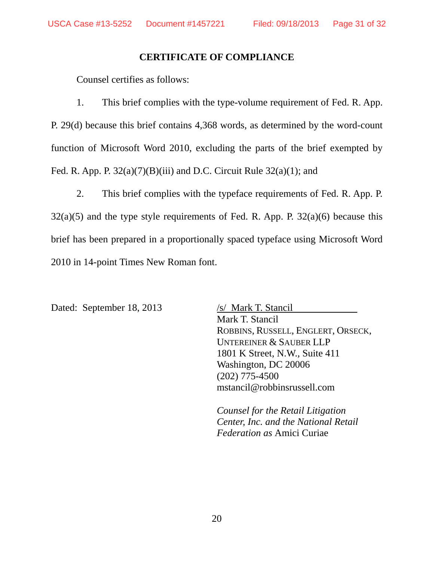### **CERTIFICATE OF COMPLIANCE**

Counsel certifies as follows:

 1. This brief complies with the type-volume requirement of Fed. R. App. P. 29(d) because this brief contains 4,368 words, as determined by the word-count function of Microsoft Word 2010, excluding the parts of the brief exempted by Fed. R. App. P.  $32(a)(7)(B)(iii)$  and D.C. Circuit Rule  $32(a)(1)$ ; and

 2. This brief complies with the typeface requirements of Fed. R. App. P.  $32(a)(5)$  and the type style requirements of Fed. R. App. P.  $32(a)(6)$  because this brief has been prepared in a proportionally spaced typeface using Microsoft Word 2010 in 14-point Times New Roman font.

Dated: September 18, 2013 /s/ Mark T. Stancil Mark T. Stancil ROBBINS, RUSSELL, ENGLERT, ORSECK, UNTEREINER & SAUBER LLP 1801 K Street, N.W., Suite 411 Washington, DC 20006 (202) 775-4500 mstancil@robbinsrussell.com

> *Counsel for the Retail Litigation Center, Inc. and the National Retail Federation as* Amici Curiae